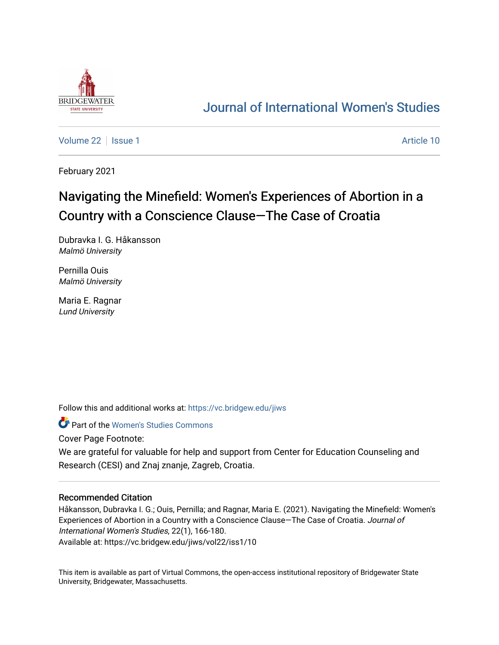

# [Journal of International Women's Studies](https://vc.bridgew.edu/jiws)

[Volume 22](https://vc.bridgew.edu/jiws/vol22) | [Issue 1](https://vc.bridgew.edu/jiws/vol22/iss1) Article 10

February 2021

# Navigating the Minefield: Women's Experiences of Abortion in a Country with a Conscience Clause—The Case of Croatia

Dubravka I. G. Håkansson Malmö University

Pernilla Ouis Malmö University

Maria E. Ragnar Lund University

Follow this and additional works at: [https://vc.bridgew.edu/jiws](https://vc.bridgew.edu/jiws?utm_source=vc.bridgew.edu%2Fjiws%2Fvol22%2Fiss1%2F10&utm_medium=PDF&utm_campaign=PDFCoverPages)

Part of the [Women's Studies Commons](http://network.bepress.com/hgg/discipline/561?utm_source=vc.bridgew.edu%2Fjiws%2Fvol22%2Fiss1%2F10&utm_medium=PDF&utm_campaign=PDFCoverPages) 

Cover Page Footnote:

We are grateful for valuable for help and support from Center for Education Counseling and Research (CESI) and Znaj znanje, Zagreb, Croatia.

## Recommended Citation

Håkansson, Dubravka I. G.; Ouis, Pernilla; and Ragnar, Maria E. (2021). Navigating the Minefield: Women's Experiences of Abortion in a Country with a Conscience Clause—The Case of Croatia. Journal of International Women's Studies, 22(1), 166-180. Available at: https://vc.bridgew.edu/jiws/vol22/iss1/10

This item is available as part of Virtual Commons, the open-access institutional repository of Bridgewater State University, Bridgewater, Massachusetts.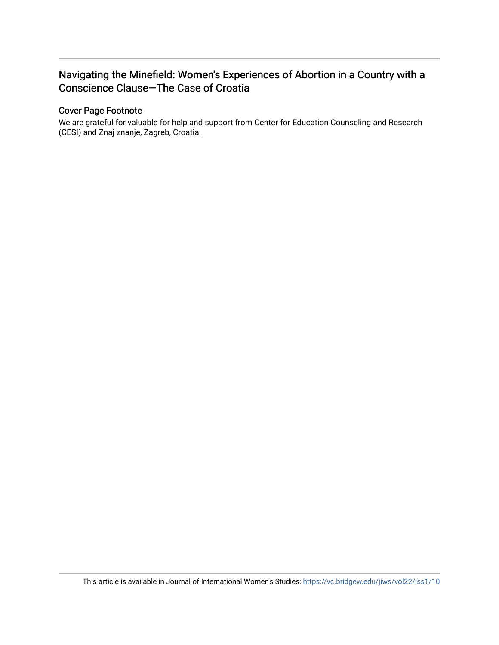## Navigating the Minefield: Women's Experiences of Abortion in a Country with a Conscience Clause—The Case of Croatia

## Cover Page Footnote

We are grateful for valuable for help and support from Center for Education Counseling and Research (CESI) and Znaj znanje, Zagreb, Croatia.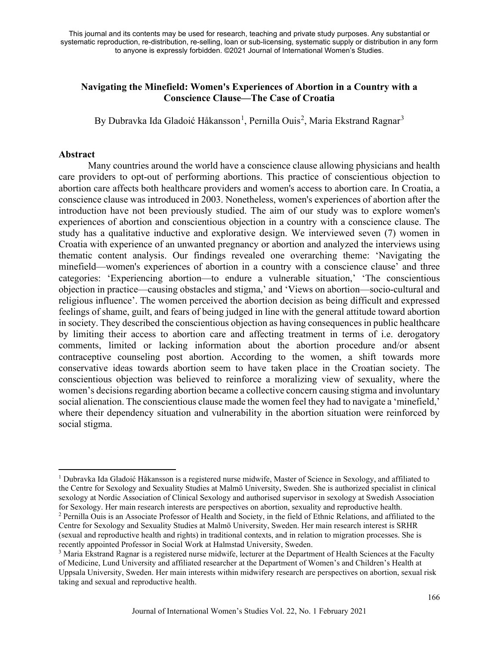## **Navigating the Minefield: Women's Experiences of Abortion in a Country with a Conscience Clause—The Case of Croatia**

By Dubravka Ida Gladoić Håkansson<sup>[1](#page-2-0)</sup>, Pernilla Ouis<sup>[2](#page-2-1)</sup>, Maria Ekstrand Ragnar<sup>[3](#page-2-2)</sup>

### **Abstract**

Many countries around the world have a conscience clause allowing physicians and health care providers to opt-out of performing abortions. This practice of conscientious objection to abortion care affects both healthcare providers and women's access to abortion care. In Croatia, a conscience clause was introduced in 2003. Nonetheless, women's experiences of abortion after the introduction have not been previously studied. The aim of our study was to explore women's experiences of abortion and conscientious objection in a country with a conscience clause. The study has a qualitative inductive and explorative design. We interviewed seven (7) women in Croatia with experience of an unwanted pregnancy or abortion and analyzed the interviews using thematic content analysis. Our findings revealed one overarching theme: 'Navigating the minefield—women's experiences of abortion in a country with a conscience clause' and three categories: 'Experiencing abortion—to endure a vulnerable situation,' 'The conscientious objection in practice—causing obstacles and stigma,' and 'Views on abortion—socio-cultural and religious influence'. The women perceived the abortion decision as being difficult and expressed feelings of shame, guilt, and fears of being judged in line with the general attitude toward abortion in society. They described the conscientious objection as having consequences in public healthcare by limiting their access to abortion care and affecting treatment in terms of i.e. derogatory comments, limited or lacking information about the abortion procedure and/or absent contraceptive counseling post abortion. According to the women, a shift towards more conservative ideas towards abortion seem to have taken place in the Croatian society. The conscientious objection was believed to reinforce a moralizing view of sexuality, where the women's decisions regarding abortion became a collective concern causing stigma and involuntary social alienation. The conscientious clause made the women feel they had to navigate a 'minefield,' where their dependency situation and vulnerability in the abortion situation were reinforced by social stigma.

<span id="page-2-0"></span><sup>&</sup>lt;sup>1</sup> Dubravka Ida Gladoić Håkansson is a registered nurse midwife, Master of Science in Sexology, and affiliated to the Centre for Sexology and Sexuality Studies at Malmö University, Sweden. She is authorized specialist in clinical sexology at Nordic Association of Clinical Sexology and authorised supervisor in sexology at Swedish Association for Sexology. Her main research interests are perspectives on abortion, sexuality and reproductive health. <sup>2</sup> Pernilla Ouis is an Associate Professor of Health and Society, in the field of Ethnic Relations, and affiliated to the

<span id="page-2-1"></span>Centre for Sexology and Sexuality Studies at Malmö University, Sweden. Her main research interest is SRHR (sexual and reproductive health and rights) in traditional contexts, and in relation to migration processes. She is recently appointed Professor in Social Work at Halmstad University, Sweden.

<span id="page-2-2"></span><sup>&</sup>lt;sup>3</sup> Maria Ekstrand Ragnar is a registered nurse midwife, lecturer at the Department of Health Sciences at the Faculty of Medicine, Lund University and affiliated researcher at the Department of Women's and Children's Health at Uppsala University, Sweden. Her main interests within midwifery research are perspectives on abortion, sexual risk taking and sexual and reproductive health.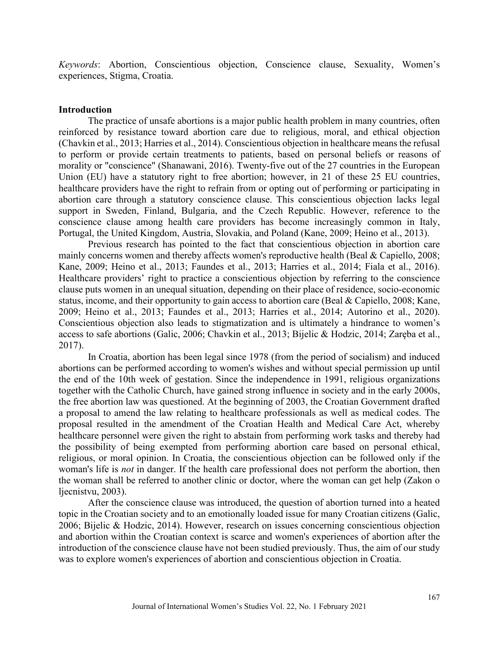*Keywords*: Abortion, Conscientious objection, Conscience clause, Sexuality, Women's experiences, Stigma, Croatia.

#### **Introduction**

The practice of unsafe abortions is a major public health problem in many countries, often reinforced by resistance toward abortion care due to religious, moral, and ethical objection (Chavkin et al., 2013; Harries et al., 2014). Conscientious objection in healthcare means the refusal to perform or provide certain treatments to patients, based on personal beliefs or reasons of morality or "conscience" (Shanawani, 2016). Twenty-five out of the 27 countries in the European Union (EU) have a statutory right to free abortion; however, in 21 of these 25 EU countries, healthcare providers have the right to refrain from or opting out of performing or participating in abortion care through a statutory conscience clause. This conscientious objection lacks legal support in Sweden, Finland, Bulgaria, and the Czech Republic. However, reference to the conscience clause among health care providers has become increasingly common in Italy, Portugal, the United Kingdom, Austria, Slovakia, and Poland (Kane, 2009; Heino et al., 2013).

Previous research has pointed to the fact that conscientious objection in abortion care mainly concerns women and thereby affects women's reproductive health (Beal & Capiello, 2008; Kane, 2009; Heino et al., 2013; Faundes et al., 2013; Harries et al., 2014; Fiala et al., 2016). Healthcare providers' right to practice a conscientious objection by referring to the conscience clause puts women in an unequal situation, depending on their place of residence, socio-economic status, income, and their opportunity to gain access to abortion care (Beal & Capiello, 2008; Kane, 2009; Heino et al., 2013; Faundes et al., 2013; Harries et al., 2014; Autorino et al., 2020). Conscientious objection also leads to stigmatization and is ultimately a hindrance to women's access to safe abortions (Galic, 2006; Chavkin et al., 2013; Bijelic & Hodzic, 2014; [Zaręba](https://www-tandfonline-com.ezproxy.its.uu.se/author/Zar%C4%99ba%2C+Kornelia) et al., 2017).

In Croatia, abortion has been legal since 1978 (from the period of socialism) and induced abortions can be performed according to women's wishes and without special permission up until the end of the 10th week of gestation. Since the independence in 1991, religious organizations together with the Catholic Church, have gained strong influence in society and in the early 2000s, the free abortion law was questioned. At the beginning of 2003, the Croatian Government drafted a proposal to amend the law relating to healthcare professionals as well as medical codes. The proposal resulted in the amendment of the Croatian Health and Medical Care Act, whereby healthcare personnel were given the right to abstain from performing work tasks and thereby had the possibility of being exempted from performing abortion care based on personal ethical, religious, or moral opinion. In Croatia, the conscientious objection can be followed only if the woman's life is *not* in danger. If the health care professional does not perform the abortion, then the woman shall be referred to another clinic or doctor, where the woman can get help (Zakon o ljecnistvu, 2003).

After the conscience clause was introduced, the question of abortion turned into a heated topic in the Croatian society and to an emotionally loaded issue for many Croatian citizens (Galic, 2006; Bijelic & Hodzic, 2014). However, research on issues concerning conscientious objection and abortion within the Croatian context is scarce and women's experiences of abortion after the introduction of the conscience clause have not been studied previously. Thus, the aim of our study was to explore women's experiences of abortion and conscientious objection in Croatia.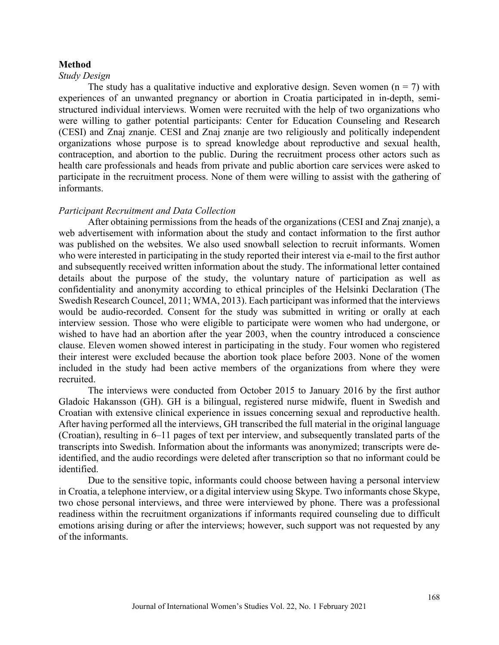#### **Method**

#### *Study Design*

The study has a qualitative inductive and explorative design. Seven women ( $n = 7$ ) with experiences of an unwanted pregnancy or abortion in Croatia participated in in-depth, semistructured individual interviews. Women were recruited with the help of two organizations who were willing to gather potential participants: Center for Education Counseling and Research (CESI) and Znaj znanje. CESI and Znaj znanje are two religiously and politically independent organizations whose purpose is to spread knowledge about reproductive and sexual health, contraception, and abortion to the public. During the recruitment process other actors such as health care professionals and heads from private and public abortion care services were asked to participate in the recruitment process. None of them were willing to assist with the gathering of informants.

#### *Participant Recruitment and Data Collection*

After obtaining permissions from the heads of the organizations (CESI and Znaj znanje), a web advertisement with information about the study and contact information to the first author was published on the websites. We also used snowball selection to recruit informants. Women who were interested in participating in the study reported their interest via e-mail to the first author and subsequently received written information about the study. The informational letter contained details about the purpose of the study, the voluntary nature of participation as well as confidentiality and anonymity according to ethical principles of the Helsinki Declaration (The Swedish Research Councel, 2011; WMA, 2013). Each participant was informed that the interviews would be audio-recorded. Consent for the study was submitted in writing or orally at each interview session. Those who were eligible to participate were women who had undergone, or wished to have had an abortion after the year 2003, when the country introduced a conscience clause. Eleven women showed interest in participating in the study. Four women who registered their interest were excluded because the abortion took place before 2003. None of the women included in the study had been active members of the organizations from where they were recruited.

The interviews were conducted from October 2015 to January 2016 by the first author Gladoic Hakansson (GH). GH is a bilingual, registered nurse midwife, fluent in Swedish and Croatian with extensive clinical experience in issues concerning sexual and reproductive health. After having performed all the interviews, GH transcribed the full material in the original language (Croatian), resulting in 6–11 pages of text per interview, and subsequently translated parts of the transcripts into Swedish. Information about the informants was anonymized; transcripts were deidentified, and the audio recordings were deleted after transcription so that no informant could be identified.

Due to the sensitive topic, informants could choose between having a personal interview in Croatia, a telephone interview, or a digital interview using Skype. Two informants chose Skype, two chose personal interviews, and three were interviewed by phone. There was a professional readiness within the recruitment organizations if informants required counseling due to difficult emotions arising during or after the interviews; however, such support was not requested by any of the informants.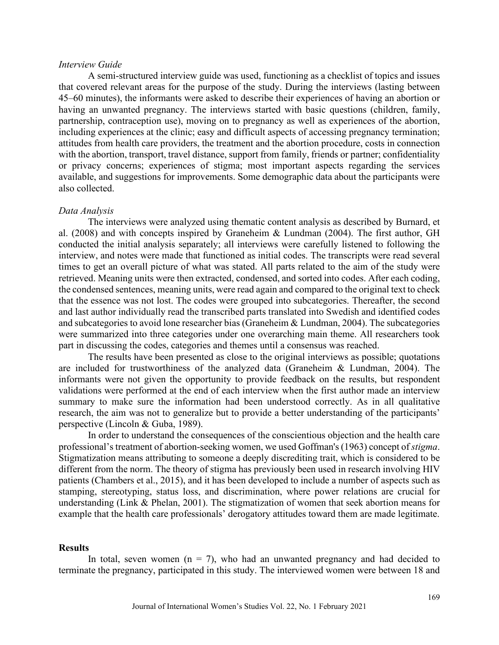#### *Interview Guide*

A semi-structured interview guide was used, functioning as a checklist of topics and issues that covered relevant areas for the purpose of the study. During the interviews (lasting between 45–60 minutes), the informants were asked to describe their experiences of having an abortion or having an unwanted pregnancy. The interviews started with basic questions (children, family, partnership, contraception use), moving on to pregnancy as well as experiences of the abortion, including experiences at the clinic; easy and difficult aspects of accessing pregnancy termination; attitudes from health care providers, the treatment and the abortion procedure, costs in connection with the abortion, transport, travel distance, support from family, friends or partner; confidentiality or privacy concerns; experiences of stigma; most important aspects regarding the services available, and suggestions for improvements. Some demographic data about the participants were also collected.

#### *Data Analysis*

The interviews were analyzed using thematic content analysis as described by Burnard, et al. (2008) and with concepts inspired by Graneheim & Lundman (2004). The first author, GH conducted the initial analysis separately; all interviews were carefully listened to following the interview, and notes were made that functioned as initial codes. The transcripts were read several times to get an overall picture of what was stated. All parts related to the aim of the study were retrieved. Meaning units were then extracted, condensed, and sorted into codes. After each coding, the condensed sentences, meaning units, were read again and compared to the original text to check that the essence was not lost. The codes were grouped into subcategories. Thereafter, the second and last author individually read the transcribed parts translated into Swedish and identified codes and subcategories to avoid lone researcher bias (Graneheim & Lundman, 2004). The subcategories were summarized into three categories under one overarching main theme. All researchers took part in discussing the codes, categories and themes until a consensus was reached.

The results have been presented as close to the original interviews as possible; quotations are included for trustworthiness of the analyzed data (Graneheim & Lundman, 2004). The informants were not given the opportunity to provide feedback on the results, but respondent validations were performed at the end of each interview when the first author made an interview summary to make sure the information had been understood correctly. As in all qualitative research, the aim was not to generalize but to provide a better understanding of the participants' perspective (Lincoln & Guba, 1989).

In order to understand the consequences of the conscientious objection and the health care professional's treatment of abortion-seeking women, we used Goffman's (1963) concept of *stigma*. Stigmatization means attributing to someone a deeply discrediting trait, which is considered to be different from the norm. The theory of stigma has previously been used in research involving HIV patients (Chambers et al., 2015), and it has been developed to include a number of aspects such as stamping, stereotyping, status loss, and discrimination, where power relations are crucial for understanding (Link & Phelan, 2001). The stigmatization of women that seek abortion means for example that the health care professionals' derogatory attitudes toward them are made legitimate.

#### **Results**

In total, seven women  $(n = 7)$ , who had an unwanted pregnancy and had decided to terminate the pregnancy, participated in this study. The interviewed women were between 18 and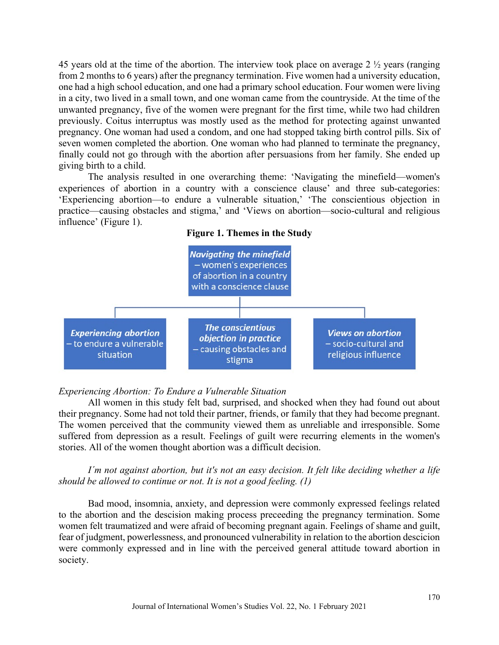45 years old at the time of the abortion. The interview took place on average 2 ½ years (ranging from 2 months to 6 years) after the pregnancy termination. Five women had a university education, one had a high school education, and one had a primary school education. Four women were living in a city, two lived in a small town, and one woman came from the countryside. At the time of the unwanted pregnancy, five of the women were pregnant for the first time, while two had children previously. Coitus interruptus was mostly used as the method for protecting against unwanted pregnancy. One woman had used a condom, and one had stopped taking birth control pills. Six of seven women completed the abortion. One woman who had planned to terminate the pregnancy, finally could not go through with the abortion after persuasions from her family. She ended up giving birth to a child.

The analysis resulted in one overarching theme: 'Navigating the minefield—women's experiences of abortion in a country with a conscience clause' and three sub-categories: 'Experiencing abortion—to endure a vulnerable situation,' 'The conscientious objection in practice—causing obstacles and stigma,' and 'Views on abortion—socio-cultural and religious influence' (Figure 1).





#### *Experiencing Abortion: To Endure a Vulnerable Situation*

All women in this study felt bad, surprised, and shocked when they had found out about their pregnancy. Some had not told their partner, friends, or family that they had become pregnant. The women perceived that the community viewed them as unreliable and irresponsible. Some suffered from depression as a result. Feelings of guilt were recurring elements in the women's stories. All of the women thought abortion was a difficult decision.

*I´m not against abortion, but it's not an easy decision. It felt like deciding whether a life should be allowed to continue or not. It is not a good feeling. (1)*

Bad mood, insomnia, anxiety, and depression were commonly expressed feelings related to the abortion and the descision making process preceeding the pregnancy termination. Some women felt traumatized and were afraid of becoming pregnant again. Feelings of shame and guilt, fear of judgment, powerlessness, and pronounced vulnerability in relation to the abortion descicion were commonly expressed and in line with the perceived general attitude toward abortion in society.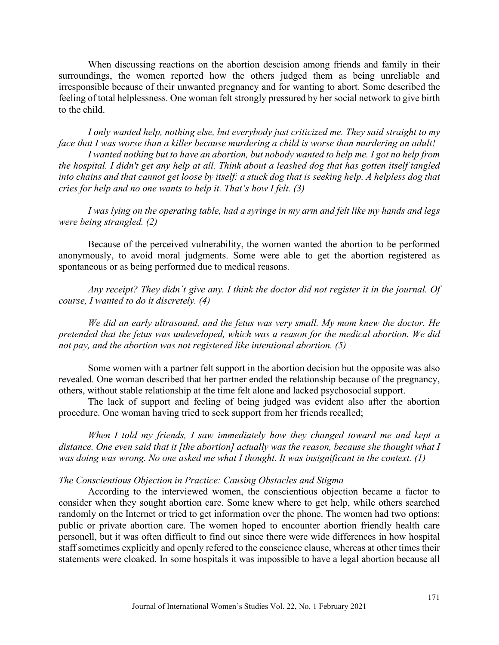When discussing reactions on the abortion descision among friends and family in their surroundings, the women reported how the others judged them as being unreliable and irresponsible because of their unwanted pregnancy and for wanting to abort. Some described the feeling of total helplessness. One woman felt strongly pressured by her social network to give birth to the child.

*I only wanted help, nothing else, but everybody just criticized me. They said straight to my face that I was worse than a killer because murdering a child is worse than murdering an adult! I wanted nothing but to have an abortion, but nobody wanted to help me. I got no help from the hospital. I didn't get any help at all. Think about a leashed dog that has gotten itself tangled into chains and that cannot get loose by itself: a stuck dog that is seeking help. A helpless dog that cries for help and no one wants to help it. That's how I felt. (3)*

*I was lying on the operating table, had a syringe in my arm and felt like my hands and legs were being strangled. (2)*

Because of the perceived vulnerability, the women wanted the abortion to be performed anonymously, to avoid moral judgments. Some were able to get the abortion registered as spontaneous or as being performed due to medical reasons.

*Any receipt? They didn´t give any. I think the doctor did not register it in the journal. Of course, I wanted to do it discretely. (4)*

*We did an early ultrasound, and the fetus was very small. My mom knew the doctor. He pretended that the fetus was undeveloped, which was a reason for the medical abortion. We did not pay, and the abortion was not registered like intentional abortion. (5)*

Some women with a partner felt support in the abortion decision but the opposite was also revealed. One woman described that her partner ended the relationship because of the pregnancy, others, without stable relationship at the time felt alone and lacked psychosocial support.

The lack of support and feeling of being judged was evident also after the abortion procedure. One woman having tried to seek support from her friends recalled;

*When I told my friends, I saw immediately how they changed toward me and kept a distance. One even said that it [the abortion] actually was the reason, because she thought what I was doing was wrong. No one asked me what I thought. It was insignificant in the context. (1)*

#### *The Conscientious Objection in Practice: Causing Obstacles and Stigma*

According to the interviewed women, the conscientious objection became a factor to consider when they sought abortion care. Some knew where to get help, while others searched randomly on the Internet or tried to get information over the phone. The women had two options: public or private abortion care. The women hoped to encounter abortion friendly health care personell, but it was often difficult to find out since there were wide differences in how hospital staff sometimes explicitly and openly refered to the conscience clause, whereas at other times their statements were cloaked. In some hospitals it was impossible to have a legal abortion because all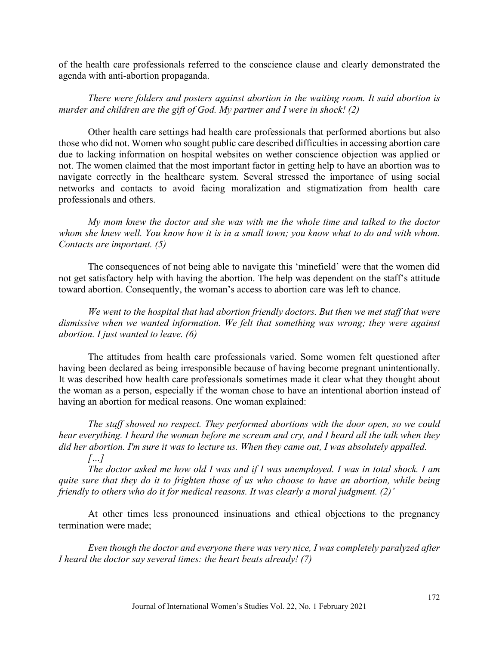of the health care professionals referred to the conscience clause and clearly demonstrated the agenda with anti-abortion propaganda.

*There were folders and posters against abortion in the waiting room. It said abortion is murder and children are the gift of God. My partner and I were in shock! (2)*

Other health care settings had health care professionals that performed abortions but also those who did not. Women who sought public care described difficulties in accessing abortion care due to lacking information on hospital websites on wether conscience objection was applied or not. The women claimed that the most important factor in getting help to have an abortion was to navigate correctly in the healthcare system. Several stressed the importance of using social networks and contacts to avoid facing moralization and stigmatization from health care professionals and others.

*My mom knew the doctor and she was with me the whole time and talked to the doctor whom she knew well. You know how it is in a small town; you know what to do and with whom. Contacts are important. (5)* 

The consequences of not being able to navigate this 'minefield' were that the women did not get satisfactory help with having the abortion. The help was dependent on the staff's attitude toward abortion. Consequently, the woman's access to abortion care was left to chance.

*We went to the hospital that had abortion friendly doctors. But then we met staff that were dismissive when we wanted information. We felt that something was wrong; they were against abortion. I just wanted to leave. (6)*

The attitudes from health care professionals varied. Some women felt questioned after having been declared as being irresponsible because of having become pregnant unintentionally. It was described how health care professionals sometimes made it clear what they thought about the woman as a person, especially if the woman chose to have an intentional abortion instead of having an abortion for medical reasons. One woman explained:

*The staff showed no respect. They performed abortions with the door open, so we could hear everything. I heard the woman before me scream and cry, and I heard all the talk when they did her abortion. I'm sure it was to lecture us. When they came out, I was absolutely appalled.* 

*The doctor asked me how old I was and if I was unemployed. I was in total shock. I am quite sure that they do it to frighten those of us who choose to have an abortion, while being friendly to others who do it for medical reasons. It was clearly a moral judgment. (2)'*

*[…]*

At other times less pronounced insinuations and ethical objections to the pregnancy termination were made;

*Even though the doctor and everyone there was very nice, I was completely paralyzed after I heard the doctor say several times: the heart beats already! (7)*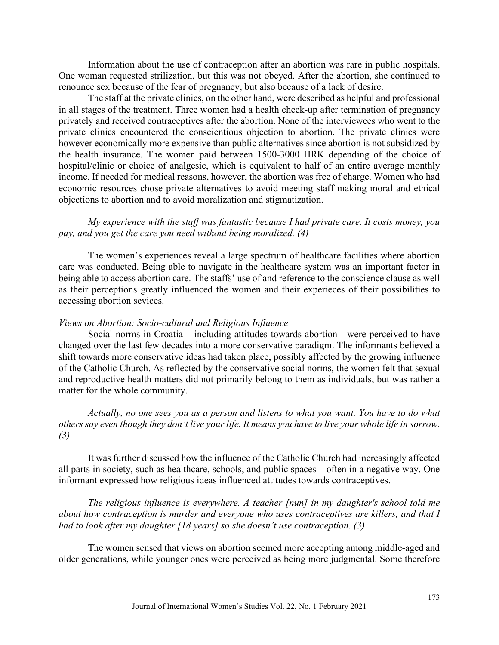Information about the use of contraception after an abortion was rare in public hospitals. One woman requested strilization, but this was not obeyed. After the abortion, she continued to renounce sex because of the fear of pregnancy, but also because of a lack of desire.

The staff at the private clinics, on the other hand, were described as helpful and professional in all stages of the treatment. Three women had a health check-up after termination of pregnancy privately and received contraceptives after the abortion. None of the interviewees who went to the private clinics encountered the conscientious objection to abortion. The private clinics were however economically more expensive than public alternatives since abortion is not subsidized by the health insurance. The women paid between 1500-3000 HRK depending of the choice of hospital/clinic or choice of analgesic, which is equivalent to half of an entire average monthly income. If needed for medical reasons, however, the abortion was free of charge. Women who had economic resources chose private alternatives to avoid meeting staff making moral and ethical objections to abortion and to avoid moralization and stigmatization.

*My experience with the staff was fantastic because I had private care. It costs money, you pay, and you get the care you need without being moralized. (4)*

The women's experiences reveal a large spectrum of healthcare facilities where abortion care was conducted. Being able to navigate in the healthcare system was an important factor in being able to access abortion care. The staffs' use of and reference to the conscience clause as well as their perceptions greatly influenced the women and their experieces of their possibilities to accessing abortion sevices.

#### *Views on Abortion: Socio-cultural and Religious Influence*

Social norms in Croatia – including attitudes towards abortion—were perceived to have changed over the last few decades into a more conservative paradigm. The informants believed a shift towards more conservative ideas had taken place, possibly affected by the growing influence of the Catholic Church. As reflected by the conservative social norms, the women felt that sexual and reproductive health matters did not primarily belong to them as individuals, but was rather a matter for the whole community.

*Actually, no one sees you as a person and listens to what you want. You have to do what others say even though they don't live your life. It means you have to live your whole life in sorrow. (3)*

It was further discussed how the influence of the Catholic Church had increasingly affected all parts in society, such as healthcare, schools, and public spaces – often in a negative way. One informant expressed how religious ideas influenced attitudes towards contraceptives.

*The religious influence is everywhere. A teacher [nun] in my daughter's school told me about how contraception is murder and everyone who uses contraceptives are killers, and that I had to look after my daughter [18 years] so she doesn't use contraception. (3)*

The women sensed that views on abortion seemed more accepting among middle-aged and older generations, while younger ones were perceived as being more judgmental. Some therefore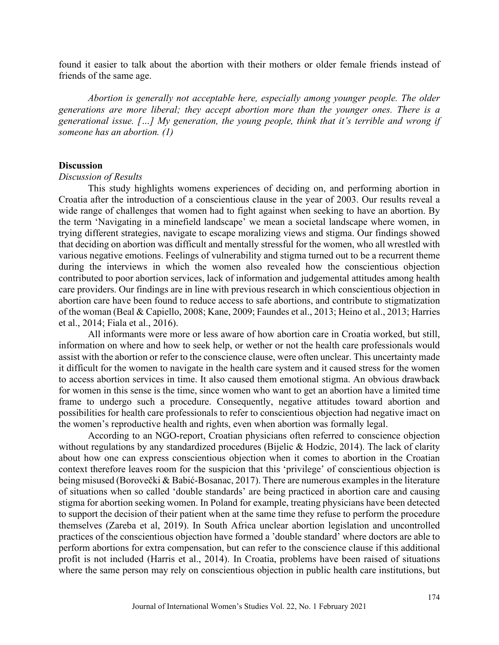found it easier to talk about the abortion with their mothers or older female friends instead of friends of the same age.

*Abortion is generally not acceptable here, especially among younger people. The older generations are more liberal; they accept abortion more than the younger ones. There is a generational issue. […] My generation, the young people, think that it's terrible and wrong if someone has an abortion. (1)*

#### **Discussion**

#### *Discussion of Results*

This study highlights womens experiences of deciding on, and performing abortion in Croatia after the introduction of a conscientious clause in the year of 2003. Our results reveal a wide range of challenges that women had to fight against when seeking to have an abortion. By the term 'Navigating in a minefield landscape' we mean a societal landscape where women, in trying different strategies, navigate to escape moralizing views and stigma. Our findings showed that deciding on abortion was difficult and mentally stressful for the women, who all wrestled with various negative emotions. Feelings of vulnerability and stigma turned out to be a recurrent theme during the interviews in which the women also revealed how the conscientious objection contributed to poor abortion services, lack of information and judgemental attitudes among health care providers. Our findings are in line with previous research in which conscientious objection in abortion care have been found to reduce access to safe abortions, and contribute to stigmatization of the woman (Beal & Capiello, 2008; Kane, 2009; Faundes et al., 2013; Heino et al., 2013; Harries et al., 2014; Fiala et al., 2016).

All informants were more or less aware of how abortion care in Croatia worked, but still, information on where and how to seek help, or wether or not the health care professionals would assist with the abortion or refer to the conscience clause, were often unclear. This uncertainty made it difficult for the women to navigate in the health care system and it caused stress for the women to access abortion services in time. It also caused them emotional stigma. An obvious drawback for women in this sense is the time, since women who want to get an abortion have a limited time frame to undergo such a procedure. Consequently, negative attitudes toward abortion and possibilities for health care professionals to refer to conscientious objection had negative imact on the women's reproductive health and rights, even when abortion was formally legal.

According to an NGO-report, Croatian physicians often referred to conscience objection without regulations by any standardized procedures (Bijelic & Hodzic, 2014). The lack of clarity about how one can express conscientious objection when it comes to abortion in the Croatian context therefore leaves room for the suspicion that this 'privilege' of conscientious objection is being misused (Borovečki & Babić-Bosanac, 2017). There are numerous examples in the literature of situations when so called 'double standards' are being practiced in abortion care and causing stigma for abortion seeking women. In Poland for example, treating physicians have been detected to support the decision of their patient when at the same time they refuse to perform the procedure themselves (Zareba et al, 2019). In South Africa unclear abortion legislation and uncontrolled practices of the conscientious objection have formed a 'double standard' where doctors are able to perform abortions for extra compensation, but can refer to the conscience clause if this additional profit is not included (Harris et al., 2014). In Croatia, problems have been raised of situations where the same person may rely on conscientious objection in public health care institutions, but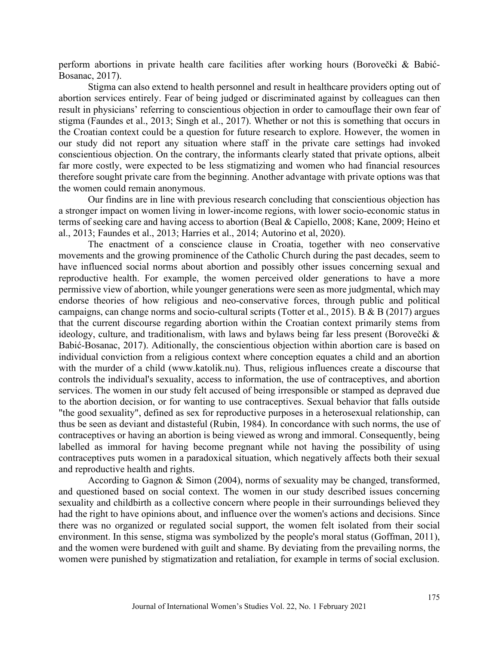perform abortions in private health care facilities after working hours (Borovečki & Babić-Bosanac, 2017).

Stigma can also extend to health personnel and result in healthcare providers opting out of abortion services entirely. Fear of being judged or discriminated against by colleagues can then result in physicians' referring to conscientious objection in order to camouflage their own fear of stigma (Faundes et al., 2013; Singh et al., 2017). Whether or not this is something that occurs in the Croatian context could be a question for future research to explore. However, the women in our study did not report any situation where staff in the private care settings had invoked conscientious objection. On the contrary, the informants clearly stated that private options, albeit far more costly, were expected to be less stigmatizing and women who had financial resources therefore sought private care from the beginning. Another advantage with private options was that the women could remain anonymous.

Our findins are in line with previous research concluding that conscientious objection has a stronger impact on women living in lower-income regions, with lower socio-economic status in terms of seeking care and having access to abortion (Beal & Capiello, 2008; Kane, 2009; Heino et al., 2013; Faundes et al., 2013; Harries et al., 2014; Autorino et al, 2020).

The enactment of a conscience clause in Croatia, together with neo conservative movements and the growing prominence of the Catholic Church during the past decades, seem to have influenced social norms about abortion and possibly other issues concerning sexual and reproductive health. For example, the women perceived older generations to have a more permissive view of abortion, while younger generations were seen as more judgmental, which may endorse theories of how religious and neo-conservative forces, through public and political campaigns, can change norms and socio-cultural scripts (Totter et al., 2015). B & B (2017) argues that the current discourse regarding abortion within the Croatian context primarily stems from ideology, culture, and traditionalism, with laws and bylaws being far less present (Borovečki & Babić-Bosanac, 2017). Aditionally, the conscientious objection within abortion care is based on individual conviction from a religious context where conception equates a child and an abortion with the murder of a child (www.katolik.nu). Thus, religious influences create a discourse that controls the individual's sexuality, access to information, the use of contraceptives, and abortion services. The women in our study felt accused of being irresponsible or stamped as depraved due to the abortion decision, or for wanting to use contraceptives. Sexual behavior that falls outside "the good sexuality", defined as sex for reproductive purposes in a heterosexual relationship, can thus be seen as deviant and distasteful (Rubin, 1984). In concordance with such norms, the use of contraceptives or having an abortion is being viewed as wrong and immoral. Consequently, being labelled as immoral for having become pregnant while not having the possibility of using contraceptives puts women in a paradoxical situation, which negatively affects both their sexual and reproductive health and rights.

According to Gagnon & Simon (2004), norms of sexuality may be changed, transformed, and questioned based on social context. The women in our study described issues concerning sexuality and childbirth as a collective concern where people in their surroundings believed they had the right to have opinions about, and influence over the women's actions and decisions. Since there was no organized or regulated social support, the women felt isolated from their social environment. In this sense, stigma was symbolized by the people's moral status (Goffman, 2011), and the women were burdened with guilt and shame. By deviating from the prevailing norms, the women were punished by stigmatization and retaliation, for example in terms of social exclusion.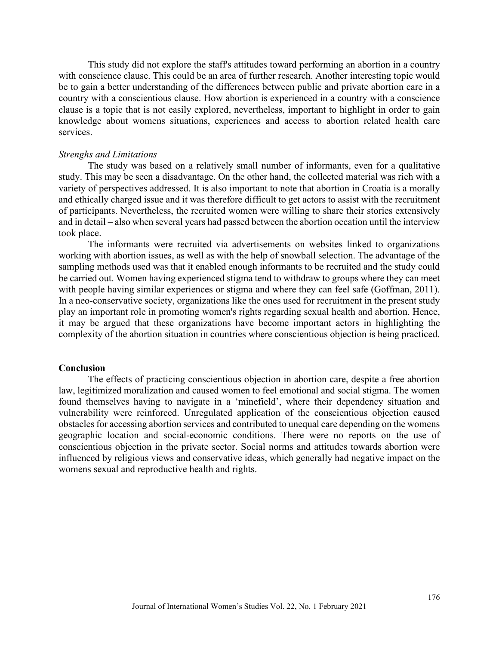This study did not explore the staff's attitudes toward performing an abortion in a country with conscience clause. This could be an area of further research. Another interesting topic would be to gain a better understanding of the differences between public and private abortion care in a country with a conscientious clause. How abortion is experienced in a country with a conscience clause is a topic that is not easily explored, nevertheless, important to highlight in order to gain knowledge about womens situations, experiences and access to abortion related health care services.

#### *Strenghs and Limitations*

The study was based on a relatively small number of informants, even for a qualitative study. This may be seen a disadvantage. On the other hand, the collected material was rich with a variety of perspectives addressed. It is also important to note that abortion in Croatia is a morally and ethically charged issue and it was therefore difficult to get actors to assist with the recruitment of participants. Nevertheless, the recruited women were willing to share their stories extensively and in detail – also when several years had passed between the abortion occation until the interview took place.

The informants were recruited via advertisements on websites linked to organizations working with abortion issues, as well as with the help of snowball selection. The advantage of the sampling methods used was that it enabled enough informants to be recruited and the study could be carried out. Women having experienced stigma tend to withdraw to groups where they can meet with people having similar experiences or stigma and where they can feel safe (Goffman, 2011). In a neo-conservative society, organizations like the ones used for recruitment in the present study play an important role in promoting women's rights regarding sexual health and abortion. Hence, it may be argued that these organizations have become important actors in highlighting the complexity of the abortion situation in countries where conscientious objection is being practiced.

#### **Conclusion**

The effects of practicing conscientious objection in abortion care, despite a free abortion law, legitimized moralization and caused women to feel emotional and social stigma. The women found themselves having to navigate in a 'minefield', where their dependency situation and vulnerability were reinforced. Unregulated application of the conscientious objection caused obstacles for accessing abortion services and contributed to unequal care depending on the womens geographic location and social-economic conditions. There were no reports on the use of conscientious objection in the private sector. Social norms and attitudes towards abortion were influenced by religious views and conservative ideas, which generally had negative impact on the womens sexual and reproductive health and rights.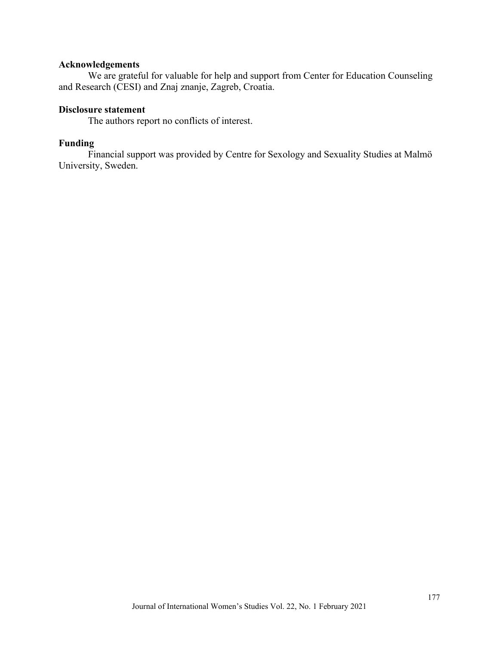## **Acknowledgements**

We are grateful for valuable for help and support from Center for Education Counseling and Research (CESI) and Znaj znanje, Zagreb, Croatia.

## **Disclosure statement**

The authors report no conflicts of interest.

## **Funding**

Financial support was provided by Centre for Sexology and Sexuality Studies at Malmö University, Sweden.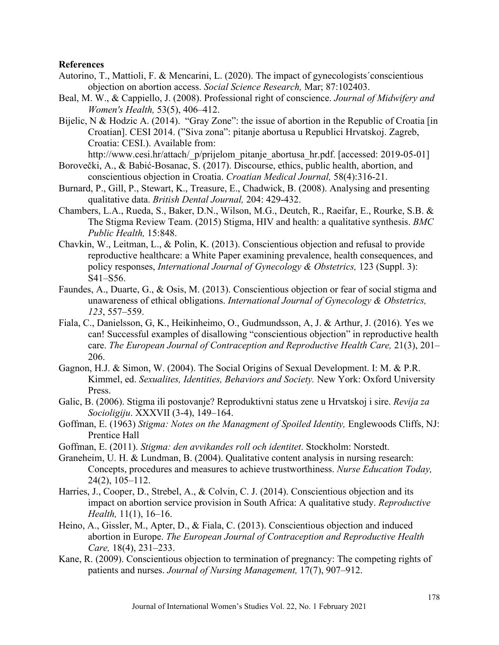#### **References**

- Autorino, T., Mattioli, F. & Mencarini, L. (2020). The impact of gynecologists´conscientious objection on abortion access. *Social Science Research,* Mar; 87:102403.
- Beal, M. W., & Cappiello, J. (2008). Professional right of conscience. *Journal of Midwifery and Women's Health,* 53(5), 406–412.
- Bijelic, N & Hodzic A. (2014). "Gray Zone": the issue of abortion in the Republic of Croatia [in Croatian]. CESI 2014. ("Siva zona": pitanje abortusa u Republici Hrvatskoj. Zagreb, Croatia: CESI.). Available from:

http://www.cesi.hr/attach/ p/prijelom pitanje abortusa hr.pdf. [accessed: 2019-05-01]

- Borovečki, A., & Babić-Bosanac, S. (2017). Discourse, ethics, public health, abortion, and conscientious objection in Croatia. *Croatian Medical Journal,* 58(4):316-21.
- Burnard, P., Gill, P., Stewart, K., Treasure, E., Chadwick, B. (2008). Analysing and presenting qualitative data. *British Dental Journal,* 204: 429-432.
- Chambers, L.A., Rueda, S., Baker, D.N., Wilson, M.G., Deutch, R., Raeifar, E., Rourke, S.B. & The Stigma Review Team. (2015) Stigma, HIV and health: a qualitative synthesis. *BMC Public Health,* 15:848.
- Chavkin, W., Leitman, L., & Polin, K. (2013). Conscientious objection and refusal to provide reproductive healthcare: a White Paper examining prevalence, health consequences, and policy responses, *International Journal of Gynecology & Obstetrics,* 123 (Suppl. 3): S41–S56.
- Faundes, A., Duarte, G., & Osis, M. (2013). Conscientious objection or fear of social stigma and unawareness of ethical obligations. *International Journal of Gynecology & Obstetrics, 123*, 557–559.
- Fiala, C., Danielsson, G, K., Heikinheimo, O., Gudmundsson, A, J. & Arthur, J. (2016). Yes we can! Successful examples of disallowing "conscientious objection" in reproductive health care. *The European Journal of Contraception and Reproductive Health Care,* 21(3), 201– 206.
- Gagnon, H.J. & Simon, W. (2004). The Social Origins of Sexual Development. I: M. & P.R. Kimmel, ed. *Sexualites, Identities, Behaviors and Society.* New York: Oxford University Press.
- Galic, B. (2006). Stigma ili postovanje? Reproduktivni status zene u Hrvatskoj i sire. *Revija za Socioligiju*. XXXVII (3-4), 149–164.
- Goffman, E. (1963) *Stigma: Notes on the Managment of Spoiled Identity,* Englewoods Cliffs, NJ: Prentice Hall
- Goffman, E. (2011). *Stigma: den avvikandes roll och identitet*. Stockholm: Norstedt.
- Graneheim, U. H. & Lundman, B. (2004). Qualitative content analysis in nursing research: Concepts, procedures and measures to achieve trustworthiness. *Nurse Education Today,*  24(2), 105–112.
- Harries, J., Cooper, D., Strebel, A., & Colvin, C. J. (2014). Conscientious objection and its impact on abortion service provision in South Africa: A qualitative study. *Reproductive Health,* 11(1), 16–16.
- Heino, A., Gissler, M., Apter, D., & Fiala, C. (2013). Conscientious objection and induced abortion in Europe. *The European Journal of Contraception and Reproductive Health Care,* 18(4), 231–233.
- Kane, R. (2009). Conscientious objection to termination of pregnancy: The competing rights of patients and nurses. *Journal of Nursing Management,* 17(7), 907–912.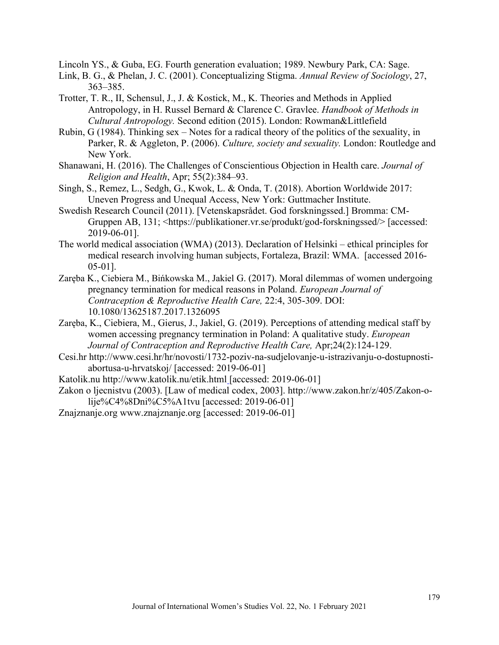Lincoln YS., & Guba, EG. Fourth generation evaluation; 1989. Newbury Park, CA: Sage.

- Link, B. G., & Phelan, J. C. (2001). Conceptualizing Stigma. *Annual Review of Sociology*, 27, 363–385.
- Trotter, T. R., II, Schensul, J., J. & Kostick, M., K. Theories and Methods in Applied Antropology, in H. Russel Bernard & Clarence C. Gravlee. *Handbook of Methods in Cultural Antropology.* Second edition (2015). London: Rowman&Littlefield
- Rubin, G (1984). Thinking sex Notes for a radical theory of the politics of the sexuality, in Parker, R. & Aggleton, P. (2006). *Culture, society and sexuality.* London: Routledge and New York.
- [Shanawani,](https://www.ncbi.nlm.nih.gov/m/pubmed/?term=Shanawani%20H%5BAuthor%5D&sort=ac&from=/26923838/ac) H. (2016). The Challenges of Conscientious Objection in Health care. *Journal of Religion and Health*, Apr; 55(2):384–93.
- Singh, S., Remez, L., Sedgh, G., Kwok, L. & Onda, T. (2018). Abortion Worldwide 2017: Uneven Progress and Unequal Access, New York: Guttmacher Institute.
- Swedish Research Council (2011). [Vetenskapsrådet. God forskningssed.] Bromma: CM-Gruppen AB, 131; <https://publikationer.vr.se/produkt/god-forskningssed/> [accessed: 2019-06-01].
- The world medical association (WMA) (2013). Declaration of Helsinki ethical principles for medical research involving human subjects, Fortaleza, Brazil: WMA. [accessed 2016- 05-01].
- [Zaręba](https://www-tandfonline-com.ezproxy.its.uu.se/author/Zar%C4%99ba%2C+Kornelia) K., [Ciebiera](https://www-tandfonline-com.ezproxy.its.uu.se/author/Ciebiera%2C+Micha%C5%82) M., [Bińkowska](https://www-tandfonline-com.ezproxy.its.uu.se/author/Bi%C5%84kowska%2C+Ma%C5%82gorzata) M., [Jakiel](https://www-tandfonline-com.ezproxy.its.uu.se/author/Jakiel%2C+Grzegorz) G. (2017). Moral dilemmas of women undergoing pregnancy termination for medical reasons in Poland. *European Journal of Contraception & Reproductive Health Care,* 22:4, 305-309. DOI: 10.1080/13625187.2017.1326095
- [Zaręba](https://www-tandfonline-com.ezproxy.its.uu.se/author/Zar%C4%99ba%2C+Kornelia), K., Ciebiera, M., Gierus, J., Jakiel, G. (2019). Perceptions of attending medical staff by women accessing pregnancy termination in Poland: A qualitative study. *European Journal of Contraception and Reproductive Health Care,* Apr;24(2):124-129.
- Cesi.hr [http://www.cesi.hr/hr/novosti/1732-poziv-na-sudjelovanje-u-istrazivanju-o-dostupnosti](http://www.cesi.hr/hr/novosti/1732-poziv-na-sudjelovanje-u-istrazivanju-o-dostupnosti-abortusa-u-hrvatskoj/)[abortusa-u-hrvatskoj/](http://www.cesi.hr/hr/novosti/1732-poziv-na-sudjelovanje-u-istrazivanju-o-dostupnosti-abortusa-u-hrvatskoj/) [accessed: 2019-06-01]
- Katolik.nu<http://www.katolik.nu/etik.html> [accessed: 2019-06-01]
- Zakon o ljecnistvu (2003). [Law of medical codex, 2003]. [http://www.zakon.hr/z/405/Zakon-o](http://www.zakon.hr/z/405/Zakon-o-lije%C4%8Dni%C5%A1tvu)[lije%C4%8Dni%C5%A1tvu](http://www.zakon.hr/z/405/Zakon-o-lije%C4%8Dni%C5%A1tvu) [accessed: 2019-06-01]
- Znajznanje.org [www.znajznanje.org](http://www.znajznanje.org/) [accessed: 2019-06-01]